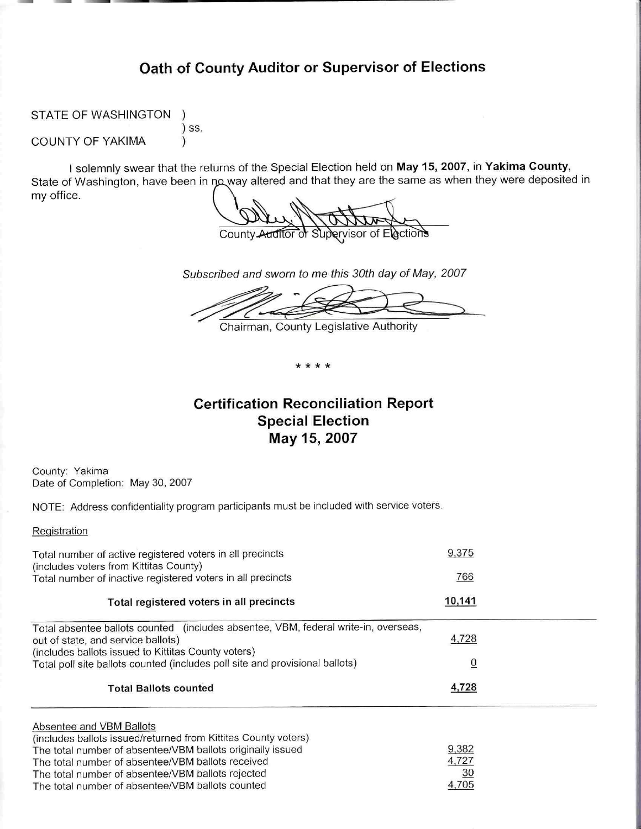# Oath of County Auditor or Supervisor of Elections

STATE OF WASHINGTON

 $\lambda$  $)$  SS.

 $\mathcal{E}$ 

**COUNTY OF YAKIMA** 

I solemnly swear that the returns of the Special Election held on May 15, 2007, in Yakima County, State of Washington, have been in no way altered and that they are the same as when they were deposited in my office.

ervisor of

Subscribed and sworn to me this 30th day of May, 2007

Chairman, County Legislative Authority

\* \* \* \*

# **Certification Reconciliation Report Special Election** May 15, 2007

County: Yakima Date of Completion: May 30, 2007

NOTE: Address confidentiality program participants must be included with service voters.

## Registration

| Total number of active registered voters in all precincts<br>(includes voters from Kittitas County)                                                                                                                                                                                                                    | 9,375<br>766                         |  |
|------------------------------------------------------------------------------------------------------------------------------------------------------------------------------------------------------------------------------------------------------------------------------------------------------------------------|--------------------------------------|--|
| Total number of inactive registered voters in all precincts                                                                                                                                                                                                                                                            |                                      |  |
| Total registered voters in all precincts                                                                                                                                                                                                                                                                               | 10,141                               |  |
| Total absentee ballots counted (includes absentee, VBM, federal write-in, overseas,<br>out of state, and service ballots)<br>(includes ballots issued to Kittitas County voters)                                                                                                                                       | 4,728                                |  |
| Total poll site ballots counted (includes poll site and provisional ballots)                                                                                                                                                                                                                                           | $\overline{0}$                       |  |
| <b>Total Ballots counted</b>                                                                                                                                                                                                                                                                                           | 4,728                                |  |
| Absentee and VBM Ballots<br>(includes ballots issued/returned from Kittitas County voters)<br>The total number of absentee/VBM ballots originally issued<br>The total number of absentee/VBM ballots received<br>The total number of absentee/VBM ballots rejected<br>The total number of absentee/VBM ballots counted | 9,382<br>4,727<br>$\frac{30}{4,705}$ |  |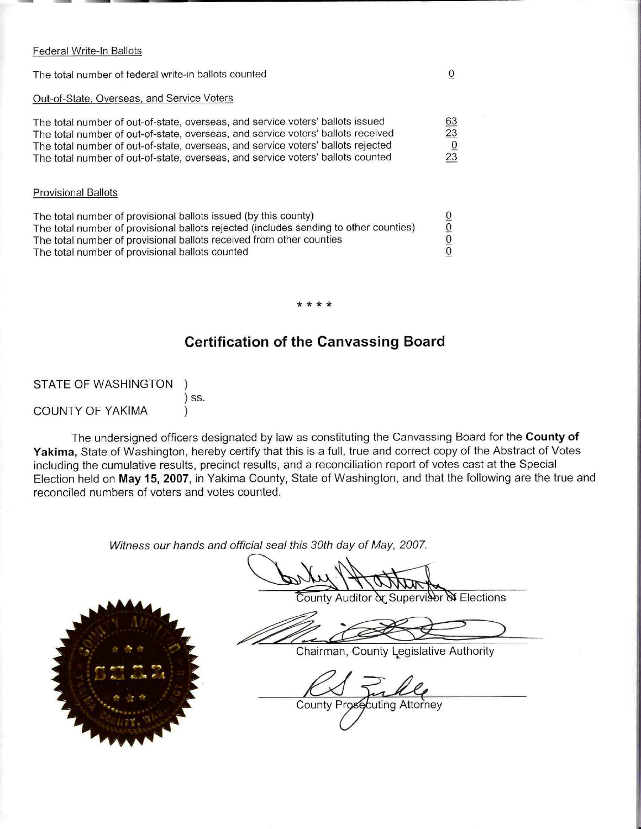## Federal Write-In Ballots

The total number of federal write-in ballots counted

## Out-of-State, Overseas, and Service Voters

| The total number of out-of-state, overseas, and service voters' ballots issued   | 63             |
|----------------------------------------------------------------------------------|----------------|
| The total number of out-of-state, overseas, and service voters' ballots received | 23             |
| The total number of out-of-state, overseas, and service voters' ballots rejected | $\overline{0}$ |
| The total number of out-of-state, overseas, and service voters' ballots counted  | 23             |

### **Provisional Ballots**

| The total number of provisional ballots issued (by this county)                       |  |
|---------------------------------------------------------------------------------------|--|
| The total number of provisional ballots rejected (includes sending to other counties) |  |
| The total number of provisional ballots received from other counties                  |  |
| The total number of provisional ballots counted                                       |  |

# **Certification of the Canvassing Board**

**STATE OF WASHINGTON**  $\lambda$ ) SS. **COUNTY OF YAKIMA**  $\mathcal{E}$ 

The undersigned officers designated by law as constituting the Canvassing Board for the County of Yakima, State of Washington, hereby certify that this is a full, true and correct copy of the Abstract of Votes including the cumulative results, precinct results, and a reconciliation report of votes cast at the Special Election held on May 15, 2007, in Yakima County, State of Washington, and that the following are the true and reconciled numbers of voters and votes counted.

Witness our hands and official seal this 30th day of May, 2007.

County Auditor or Supervisor & Elections

 $\mathbf{0}$ 

Chairman, County Legislative Authority

County Prosecuting Attorney

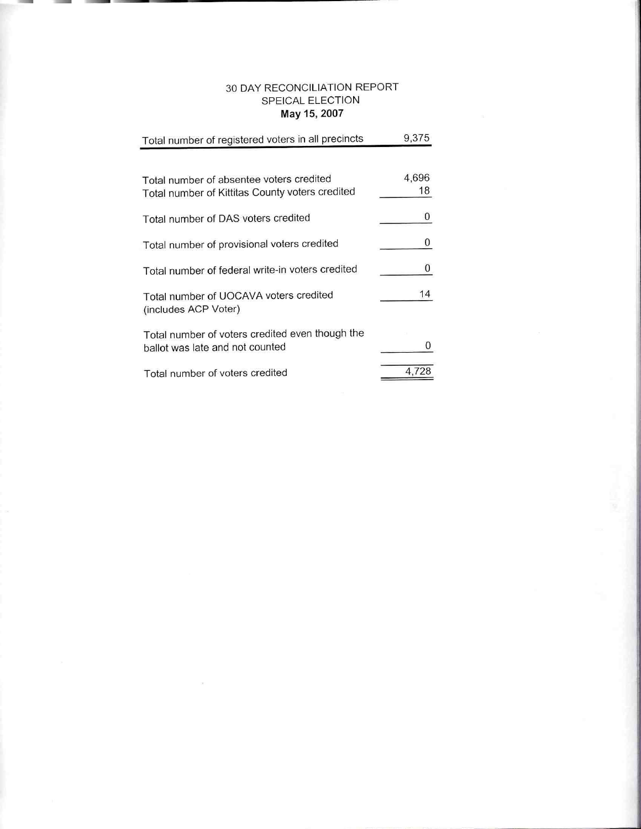## 30 DAY RECONCILIATION REPORT SPEICAL ELECTION May 15, 2007

| Total number of registered voters in all precincts                                          | 9,375       |
|---------------------------------------------------------------------------------------------|-------------|
|                                                                                             |             |
| Total number of absentee voters credited<br>Total number of Kittitas County voters credited | 4,696<br>18 |
| Total number of DAS voters credited                                                         | 0           |
| Total number of provisional voters credited                                                 | 0           |
| Total number of federal write-in voters credited                                            | 0           |
| Total number of UOCAVA voters credited<br>(includes ACP Voter)                              | 14          |
| Total number of voters credited even though the<br>ballot was late and not counted          | O           |
| Total number of voters credited                                                             | 4.72        |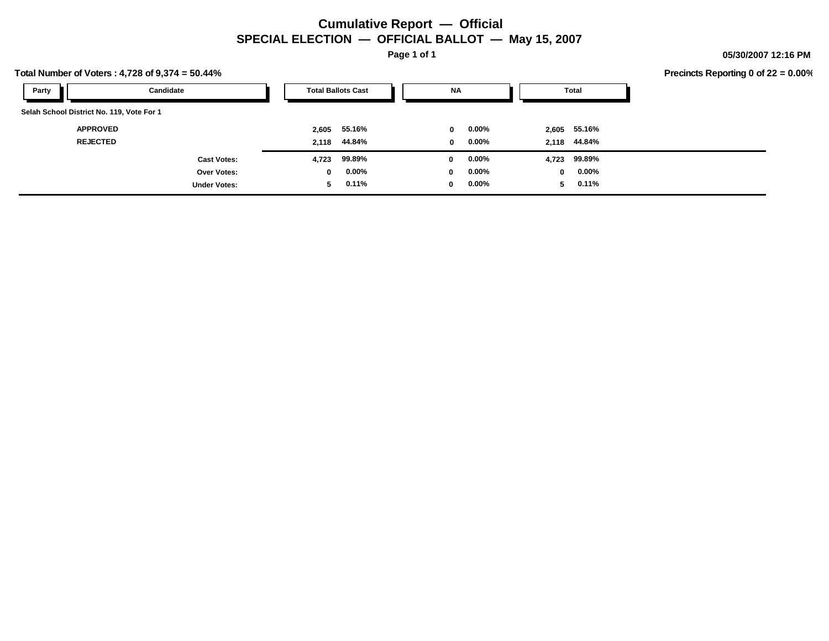## **Cumulative Report — Official SPECIAL ELECTION — OFFICIAL BALLOT — May 15, 2007**

**Page 1 of 1**

**05/30/2007 12:16 PM**

**Precincts Reporting 0 of 22 = 0.00%**

| Total Number of Voters: $4,728$ of $9,374 = 50.44\%$ |                     |             |                           |             |          |       |              | <b>Precincts Reporting 0 of</b> |
|------------------------------------------------------|---------------------|-------------|---------------------------|-------------|----------|-------|--------------|---------------------------------|
| Party                                                | Candidate           |             | <b>Total Ballots Cast</b> | <b>NA</b>   |          |       | Total        |                                 |
| Selah School District No. 119, Vote For 1            |                     |             |                           |             |          |       |              |                                 |
| <b>APPROVED</b>                                      |                     | 2,605       | 55.16%                    | $\mathbf 0$ | $0.00\%$ |       | 2,605 55.16% |                                 |
| <b>REJECTED</b>                                      |                     | 2,118       | 44.84%                    | $\mathbf 0$ | $0.00\%$ |       | 2.118 44.84% |                                 |
|                                                      | <b>Cast Votes:</b>  | 4,723       | 99.89%                    | 0           | $0.00\%$ | 4,723 | 99.89%       |                                 |
|                                                      | <b>Over Votes:</b>  | $\mathbf 0$ | $0.00\%$                  | 0           | $0.00\%$ | 0     | 0.00%        |                                 |
|                                                      | <b>Under Votes:</b> | 5           | 0.11%                     | 0           | $0.00\%$ | 5     | 0.11%        |                                 |